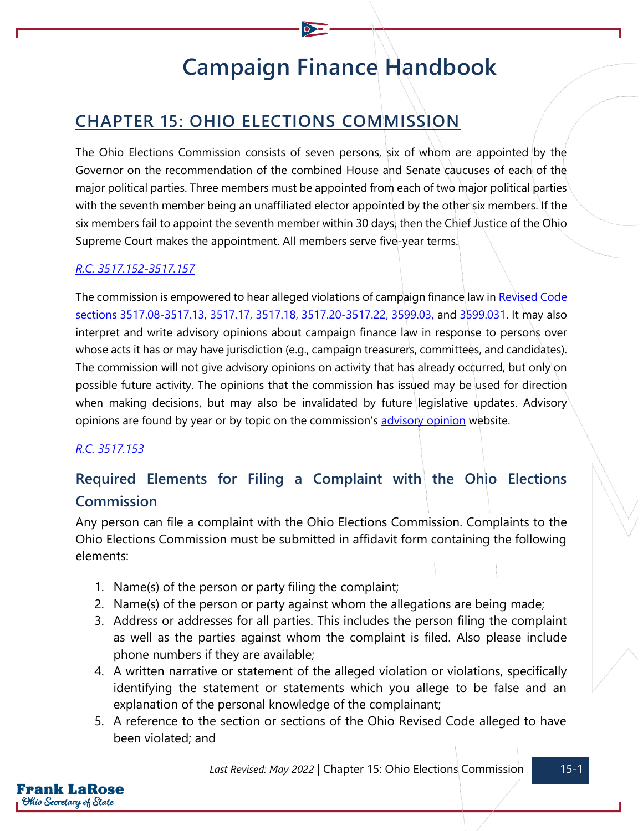# **Campaign Finance Handbook**

# **CHAPTER 15: OHIO ELECTIONS COMMISSION**

The Ohio Elections Commission consists of seven persons, six of whom are appointed by the Governor on the recommendation of the combined House and Senate caucuses of each of the major political parties. Three members must be appointed from each of two major political parties with the seventh member being an unaffiliated elector appointed by the other six members. If the six members fail to appoint the seventh member within 30 days, then the Chief Justice of the Ohio Supreme Court makes the appointment. All members serve five-year terms.

#### *[R.C. 3517.152](https://codes.ohio.gov/ohio-revised-code/chapter-3517.152)[-3517.157](https://codes.ohio.gov/ohio-revised-code/chapter-3517.157)*

The commission is empowered to hear alleged violations of campaign finance law in Revised Code [sections 3517.08-3517.13,](https://codes.ohio.gov/ohio-revised-code/chapter-3517) [3517.17,](https://codes.ohio.gov/ohio-revised-code/section-3517.17) [3517.18,](https://codes.ohio.gov/ohio-revised-code/section-3517.18) [3517.20-3517.22,](https://codes.ohio.gov/ohio-revised-code/chapter-3517) [3599.03,](https://codes.ohio.gov/ohio-revised-code/section-3599.03) and [3599.031.](https://codes.ohio.gov/ohio-revised-code/section-3599.031) It may also interpret and write advisory opinions about campaign finance law in response to persons over whose acts it has or may have jurisdiction (e.g., campaign treasurers, committees, and candidates). The commission will not give advisory opinions on activity that has already occurred, but only on possible future activity. The opinions that the commission has issued may be used for direction when making decisions, but may also be invalidated by future legislative updates. Advisory opinions are found by year or by topic on the commission's [advisory opinion](https://elc.ohio.gov/opinions-decisions/advisory-opinions/advisory-opinions) website.

#### *[R.C. 3517.153](https://codes.ohio.gov/ohio-revised-code/section-3517.153)*

## **Required Elements for Filing a Complaint with the Ohio Elections Commission**

Any person can file a complaint with the Ohio Elections Commission. Complaints to the Ohio Elections Commission must be submitted in affidavit form containing the following elements:

- 1. Name(s) of the person or party filing the complaint;
- 2. Name(s) of the person or party against whom the allegations are being made;
- 3. Address or addresses for all parties. This includes the person filing the complaint as well as the parties against whom the complaint is filed. Also please include phone numbers if they are available;
- 4. A written narrative or statement of the alleged violation or violations, specifically identifying the statement or statements which you allege to be false and an explanation of the personal knowledge of the complainant;
- 5. A reference to the section or sections of the Ohio Revised Code alleged to have been violated; and

*Last Revised: May 2022* | Chapter 15: Ohio Elections Commission 15-1

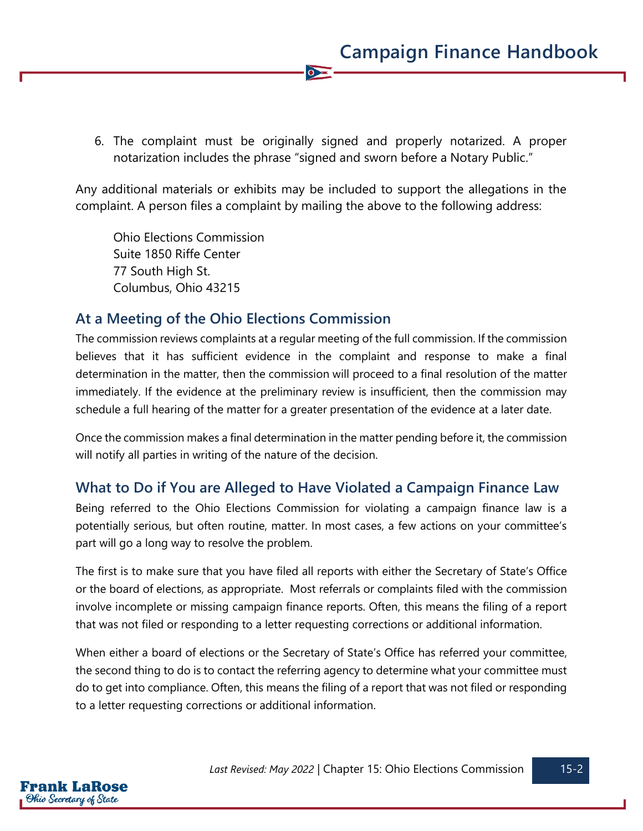6. The complaint must be originally signed and properly notarized. A proper notarization includes the phrase "signed and sworn before a Notary Public."

 $\bullet$ 

Any additional materials or exhibits may be included to support the allegations in the complaint. A person files a complaint by mailing the above to the following address:

Ohio Elections Commission Suite 1850 Riffe Center 77 South High St. Columbus, Ohio 43215

## **At a Meeting of the Ohio Elections Commission**

The commission reviews complaints at a regular meeting of the full commission. If the commission believes that it has sufficient evidence in the complaint and response to make a final determination in the matter, then the commission will proceed to a final resolution of the matter immediately. If the evidence at the preliminary review is insufficient, then the commission may schedule a full hearing of the matter for a greater presentation of the evidence at a later date.

Once the commission makes a final determination in the matter pending before it, the commission will notify all parties in writing of the nature of the decision.

## **What to Do if You are Alleged to Have Violated a Campaign Finance Law**

Being referred to the Ohio Elections Commission for violating a campaign finance law is a potentially serious, but often routine, matter. In most cases, a few actions on your committee's part will go a long way to resolve the problem.

The first is to make sure that you have filed all reports with either the Secretary of State's Office or the board of elections, as appropriate. Most referrals or complaints filed with the commission involve incomplete or missing campaign finance reports. Often, this means the filing of a report that was not filed or responding to a letter requesting corrections or additional information.

When either a board of elections or the Secretary of State's Office has referred your committee, the second thing to do is to contact the referring agency to determine what your committee must do to get into compliance. Often, this means the filing of a report that was not filed or responding to a letter requesting corrections or additional information.